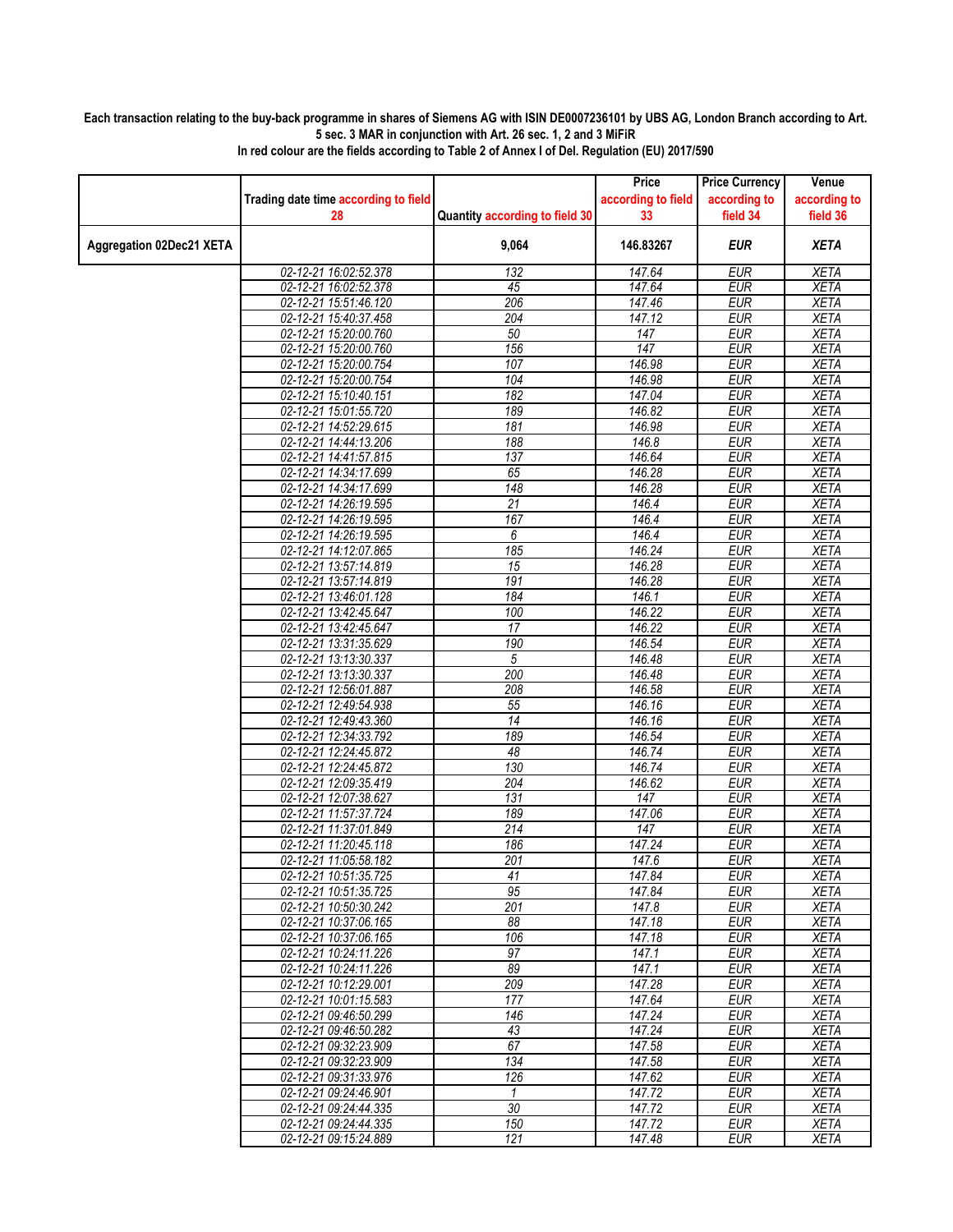## **Each transaction relating to the buy-back programme in shares of Siemens AG with ISIN DE0007236101 by UBS AG, London Branch according to Art. 5 sec. 3 MAR in conjunction with Art. 26 sec. 1, 2 and 3 MiFiR**

|                          |                                                |                                | Price              | <b>Price Currency</b>    | Venue                      |
|--------------------------|------------------------------------------------|--------------------------------|--------------------|--------------------------|----------------------------|
|                          | Trading date time according to field           |                                | according to field | according to             | according to               |
|                          | 28                                             | Quantity according to field 30 | 33                 | field 34                 | field 36                   |
| Aggregation 02Dec21 XETA |                                                | 9,064                          | 146.83267          | <b>EUR</b>               | <b>XETA</b>                |
|                          | 02-12-21 16:02:52.378                          | 132                            | 147.64             | <b>EUR</b>               | <b>XETA</b>                |
|                          | 02-12-21 16:02:52.378                          | 45                             | 147.64             | <b>EUR</b>               | <b>XETA</b>                |
|                          | 02-12-21 15:51:46.120                          | 206                            | 147.46             | <b>EUR</b>               | <b>XETA</b>                |
|                          | 02-12-21 15:40:37.458                          | 204                            | 147.12             | <b>EUR</b>               | <b>XETA</b>                |
|                          | 02-12-21 15:20:00.760                          | 50                             | 147                | <b>EUR</b>               | <b>XETA</b>                |
|                          | 02-12-21 15:20:00.760                          | 156                            | $\overline{147}$   | <b>EUR</b>               | <b>XETA</b>                |
|                          | 02-12-21 15:20:00.754                          | 107                            | 146.98             | <b>EUR</b>               | <b>XETA</b>                |
|                          | 02-12-21 15:20:00.754                          | 104                            | 146.98             | <b>EUR</b>               | <b>XETA</b>                |
|                          | 02-12-21 15:10:40.151                          | 182                            | 147.04             | <b>EUR</b>               | <b>XETA</b>                |
|                          | 02-12-21 15:01:55.720                          | 189                            | 146.82             | <b>EUR</b>               | <b>XETA</b>                |
|                          | 02-12-21 14:52:29.615                          | 181                            | 146.98             | <b>EUR</b>               | <b>XETA</b>                |
|                          | 02-12-21 14:44:13.206                          | 188                            | 146.8              | <b>EUR</b>               | <b>XETA</b>                |
|                          | 02-12-21 14:41:57.815                          | 137                            | 146.64             | <b>EUR</b>               | <b>XETA</b>                |
|                          | 02-12-21 14:34:17.699                          | 65                             | 146.28             | <b>EUR</b>               | <b>XETA</b>                |
|                          | 02-12-21 14:34:17.699                          | 148                            | 146.28             | <b>EUR</b>               | <b>XETA</b>                |
|                          | 02-12-21 14:26:19.595                          | 21                             | 146.4              | <b>EUR</b>               | <b>XETA</b>                |
|                          | 02-12-21 14:26:19.595                          | 167                            | 146.4              | <b>EUR</b>               | <b>XETA</b>                |
|                          | 02-12-21 14:26:19.595                          | 6                              | 146.4              | <b>EUR</b>               | <b>XETA</b>                |
|                          | 02-12-21 14:12:07.865                          | 185                            | 146.24             | <b>EUR</b>               | <b>XETA</b>                |
|                          | 02-12-21 13:57:14.819                          | $\overline{15}$                | 146.28             | <b>EUR</b>               | <b>XETA</b>                |
|                          | 02-12-21 13:57:14.819                          | 191                            | 146.28             | <b>EUR</b>               | <b>XETA</b>                |
|                          | 02-12-21 13:46:01.128                          | 184                            | 146.1              | <b>EUR</b>               | <b>XETA</b>                |
|                          | 02-12-21 13:42:45.647                          | 100                            | 146.22             | <b>EUR</b>               | <b>XETA</b>                |
|                          | 02-12-21 13:42:45.647                          | 17                             | 146.22             | <b>EUR</b>               | <b>XETA</b>                |
|                          | 02-12-21 13:31:35.629                          | 190                            | 146.54             | <b>EUR</b>               | <b>XETA</b>                |
|                          | 02-12-21 13:13:30.337                          | 5                              | 146.48             | <b>EUR</b>               | <b>XETA</b>                |
|                          | 02-12-21 13:13:30.337                          | 200                            | 146.48             | <b>EUR</b>               | <b>XETA</b>                |
|                          | 02-12-21 12:56:01.887                          | 208                            | 146.58             | <b>EUR</b>               | <b>XETA</b>                |
|                          | 02-12-21 12:49:54.938                          | 55                             | 146.16             | <b>EUR</b>               | <b>XETA</b>                |
|                          | 02-12-21 12:49:43.360                          | 14                             | 146.16             | <b>EUR</b>               | <b>XETA</b>                |
|                          | 02-12-21 12:34:33.792                          | 189                            | 146.54             | <b>EUR</b>               | <b>XETA</b>                |
|                          | 02-12-21 12:24:45.872                          | 48                             | 146.74             | <b>EUR</b>               | <b>XETA</b>                |
|                          | 02-12-21 12:24:45.872                          | 130                            | 146.74             | <b>EUR</b>               | <b>XETA</b>                |
|                          | 02-12-21 12:09:35.419                          | 204                            | 146.62             | <b>EUR</b>               | <b>XETA</b>                |
|                          | 02-12-21 12:07:38.627                          | 131                            | 147                | <b>EUR</b>               | <b>XETA</b>                |
|                          | 02-12-21 11:57:37.724                          | 189                            | 147.06             | <b>EUR</b>               | <b>XETA</b>                |
|                          | 02-12-21 11:37:01.849                          | 214                            | $\overline{147}$   | <b>EUR</b>               | <b>XETA</b>                |
|                          | 02-12-21 11:20:45.118                          | 186                            | 147.24             | <b>EUR</b>               | <b>XETA</b>                |
|                          | 02-12-21 11:05:58.182                          | 201                            | 147.6              | <b>EUR</b>               | <b>XETA</b>                |
|                          | 02-12-21 10:51:35.725                          | 41                             | 147.84             | <b>EUR</b>               | XETA                       |
|                          | 02-12-21 10:51:35.725                          | 95                             | 147.84             | EUR                      | <b>XETA</b>                |
|                          | 02-12-21 10:50:30.242                          | 201                            | 147.8              | <b>EUR</b>               | <b>XETA</b>                |
|                          | 02-12-21 10:37:06.165                          | 88                             | 147.18             | EUR                      | XETA                       |
|                          | 02-12-21 10:37:06.165                          | 106                            | 147.18             | <b>EUR</b>               | <b>XETA</b>                |
|                          | 02-12-21 10:24:11.226                          | 97                             | 147.1              | <b>EUR</b>               | <b>XETA</b>                |
|                          | 02-12-21 10:24:11.226                          | 89                             | 147.1              | EUR                      | XETA                       |
|                          | 02-12-21 10:12:29.001                          | 209                            | 147.28             | <b>EUR</b>               | <b>XETA</b>                |
|                          | 02-12-21 10:01:15.583                          | 177                            | 147.64             | <b>EUR</b>               | <b>XETA</b>                |
|                          | 02-12-21 09:46:50.299                          | 146                            | 147.24             | EUR                      | XETA                       |
|                          | 02-12-21 09:46:50.282<br>02-12-21 09:32:23.909 | 43<br>67                       | 147.24             | <b>EUR</b><br><b>EUR</b> | <b>XETA</b>                |
|                          | 02-12-21 09:32:23.909                          |                                | 147.58<br>147.58   |                          | <b>XETA</b><br><b>XETA</b> |
|                          | 02-12-21 09:31:33.976                          | 134                            |                    | <b>EUR</b>               |                            |
|                          | 02-12-21 09:24:46.901                          | 126<br>$\mathcal I$            | 147.62<br>147.72   | <b>EUR</b>               | <b>XETA</b>                |
|                          | 02-12-21 09:24:44.335                          | 30                             | 147.72             | EUR<br>EUR               | <b>XETA</b><br>XETA        |
|                          | 02-12-21 09:24:44.335                          | 150                            | 147.72             | <b>EUR</b>               |                            |
|                          | 02-12-21 09:15:24.889                          | 121                            | 147.48             | EUR                      | XETA<br>XETA               |
|                          |                                                |                                |                    |                          |                            |

**In red colour are the fields according to Table 2 of Annex I of Del. Regulation (EU) 2017/590**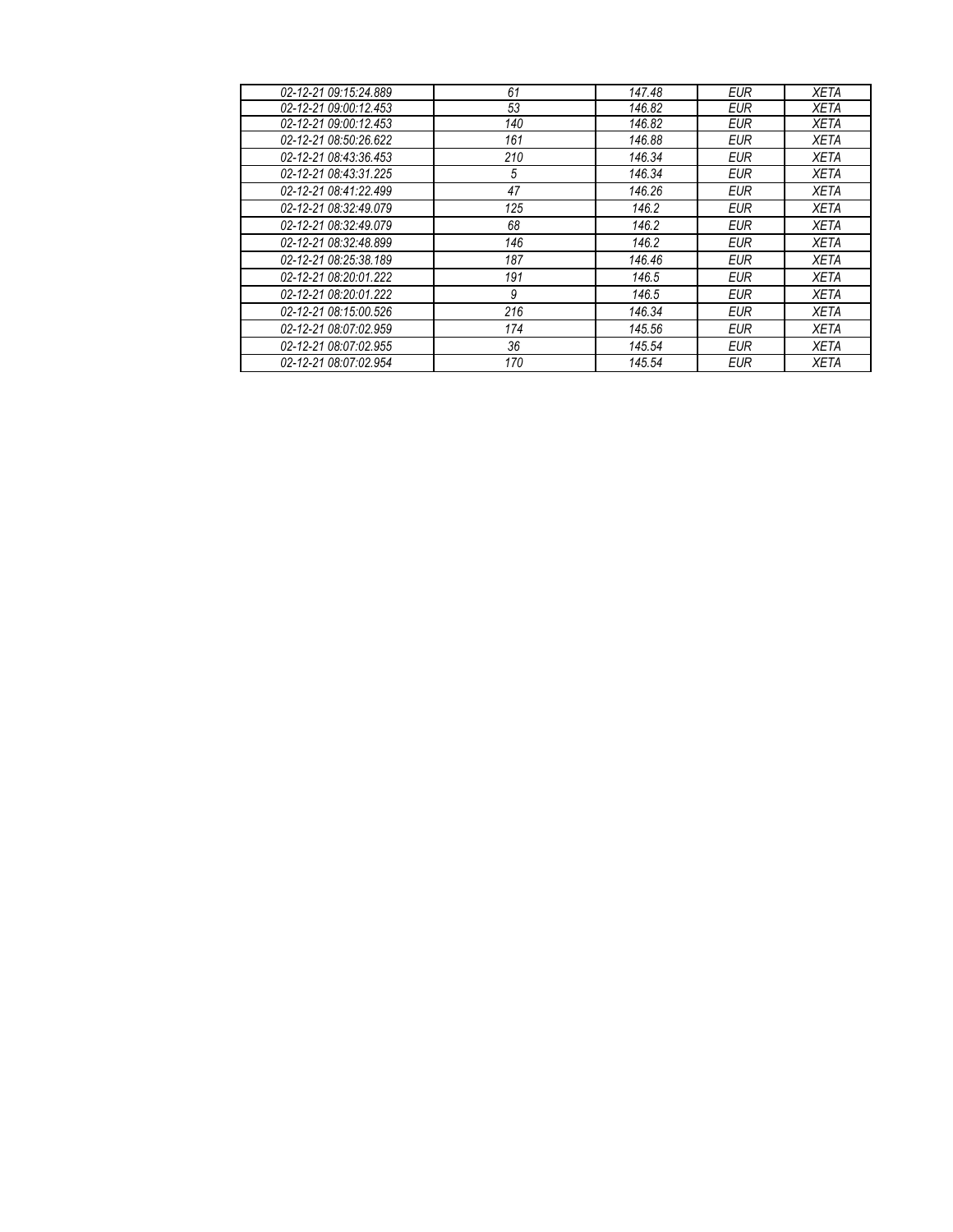| 02-12-21 09:15:24.889 | 61  | 147.48 | <b>EUR</b> | <b>XETA</b> |
|-----------------------|-----|--------|------------|-------------|
| 02-12-21 09:00:12.453 | 53  | 146.82 | <b>EUR</b> | <b>XETA</b> |
| 02-12-21 09:00:12.453 | 140 | 146.82 | <b>EUR</b> | <b>XETA</b> |
| 02-12-21 08:50:26.622 | 161 | 146.88 | <b>EUR</b> | <b>XETA</b> |
| 02-12-21 08:43:36.453 | 210 | 146.34 | <b>EUR</b> | <b>XETA</b> |
| 02-12-21 08:43:31.225 | 5   | 146.34 | <b>EUR</b> | <b>XETA</b> |
| 02-12-21 08:41:22.499 | 47  | 146.26 | <b>EUR</b> | <b>XETA</b> |
| 02-12-21 08:32:49.079 | 125 | 146.2  | <b>EUR</b> | <b>XETA</b> |
| 02-12-21 08:32:49.079 | 68  | 146.2  | <b>EUR</b> | <b>XETA</b> |
| 02-12-21 08:32:48.899 | 146 | 146.2  | <b>EUR</b> | <b>XETA</b> |
| 02-12-21 08:25:38.189 | 187 | 146.46 | <b>EUR</b> | <b>XETA</b> |
| 02-12-21 08:20:01.222 | 191 | 146.5  | EUR        | <b>XETA</b> |
| 02-12-21 08:20:01.222 | 9   | 146.5  | <b>EUR</b> | <b>XETA</b> |
| 02-12-21 08:15:00.526 | 216 | 146.34 | EUR        | <b>XETA</b> |
| 02-12-21 08:07:02.959 | 174 | 145.56 | <b>EUR</b> | <b>XETA</b> |
| 02-12-21 08:07:02.955 | 36  | 145.54 | <b>EUR</b> | <b>XETA</b> |
| 02-12-21 08:07:02.954 | 170 | 145.54 | <b>EUR</b> | <b>XETA</b> |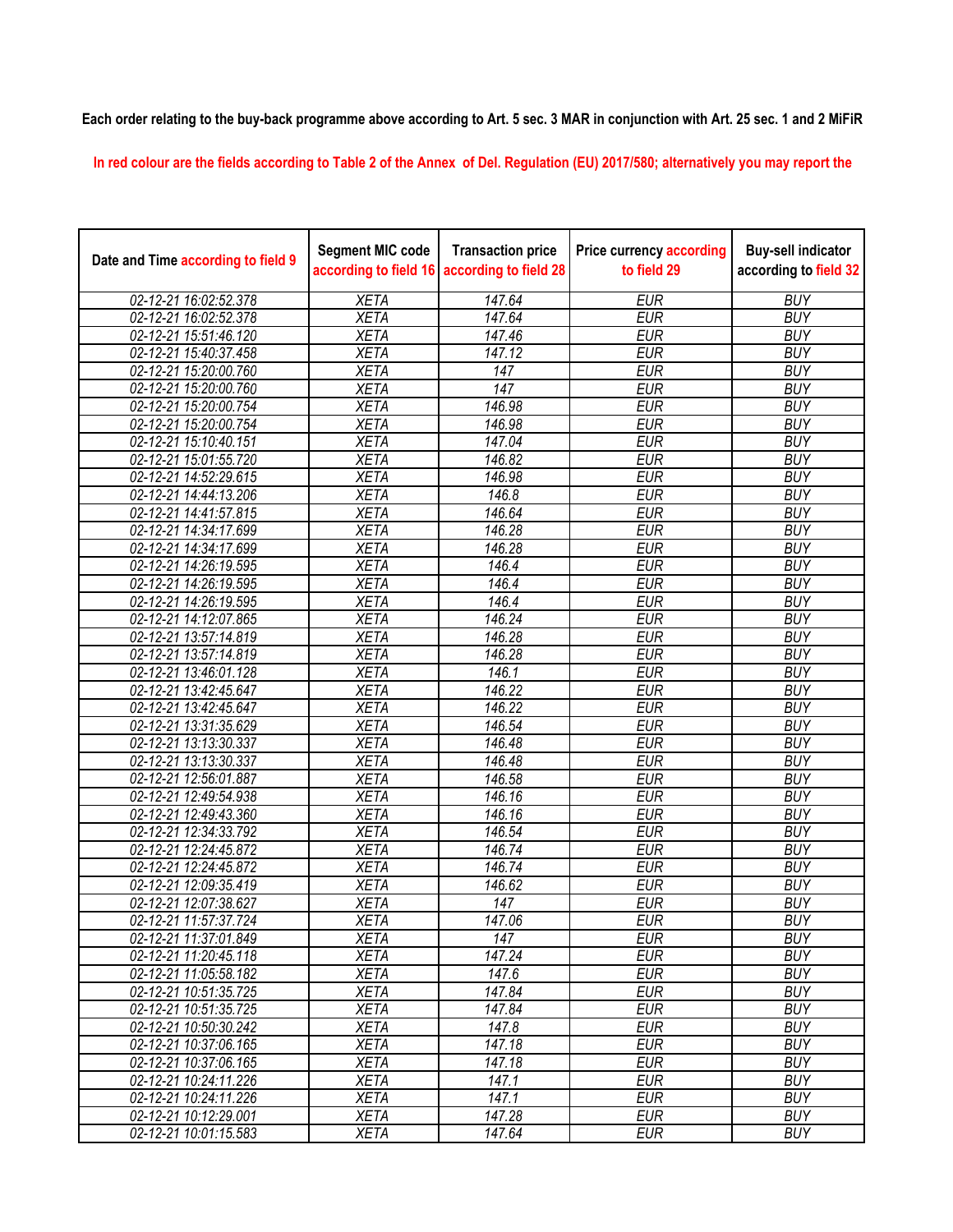**Each order relating to the buy-back programme above according to Art. 5 sec. 3 MAR in conjunction with Art. 25 sec. 1 and 2 MiFiR** 

**In red colour are the fields according to Table 2 of the Annex of Del. Regulation (EU) 2017/580; alternatively you may report the** 

| Date and Time according to field 9 | <b>Segment MIC code</b><br>according to field 16 | <b>Transaction price</b><br>according to field 28 | <b>Price currency according</b><br>to field 29 | <b>Buy-sell indicator</b><br>according to field 32 |
|------------------------------------|--------------------------------------------------|---------------------------------------------------|------------------------------------------------|----------------------------------------------------|
| 02-12-21 16:02:52.378              | <b>XETA</b>                                      | 147.64                                            | <b>EUR</b>                                     | <b>BUY</b>                                         |
| 02-12-21 16:02:52.378              | <b>XETA</b>                                      | 147.64                                            | <b>EUR</b>                                     | <b>BUY</b>                                         |
| 02-12-21 15:51:46.120              | <b>XETA</b>                                      | 147.46                                            | <b>EUR</b>                                     | <b>BUY</b>                                         |
| 02-12-21 15:40:37.458              | <b>XETA</b>                                      | 147.12                                            | <b>EUR</b>                                     | <b>BUY</b>                                         |
| 02-12-21 15:20:00.760              | <b>XETA</b>                                      | 147                                               | <b>EUR</b>                                     | <b>BUY</b>                                         |
| 02-12-21 15:20:00.760              | <b>XETA</b>                                      | 147                                               | <b>EUR</b>                                     | <b>BUY</b>                                         |
| 02-12-21 15:20:00.754              | <b>XETA</b>                                      | 146.98                                            | <b>EUR</b>                                     | <b>BUY</b>                                         |
| 02-12-21 15:20:00.754              | <b>XETA</b>                                      | 146.98                                            | <b>EUR</b>                                     | <b>BUY</b>                                         |
| 02-12-21 15:10:40.151              | <b>XETA</b>                                      | 147.04                                            | <b>EUR</b>                                     | <b>BUY</b>                                         |
| 02-12-21 15:01:55.720              | <b>XETA</b>                                      | 146.82                                            | <b>EUR</b>                                     | <b>BUY</b>                                         |
| 02-12-21 14:52:29.615              | <b>XETA</b>                                      | 146.98                                            | <b>EUR</b>                                     | <b>BUY</b>                                         |
| 02-12-21 14:44:13.206              | <b>XETA</b>                                      | 146.8                                             | <b>EUR</b>                                     | <b>BUY</b>                                         |
| 02-12-21 14:41:57.815              | <b>XETA</b>                                      | 146.64                                            | <b>EUR</b>                                     | <b>BUY</b>                                         |
| 02-12-21 14:34:17.699              | <b>XETA</b>                                      | 146.28                                            | <b>EUR</b>                                     | <b>BUY</b>                                         |
| 02-12-21 14:34:17.699              | <b>XETA</b>                                      | 146.28                                            | <b>EUR</b>                                     | <b>BUY</b>                                         |
| 02-12-21 14:26:19.595              | <b>XETA</b>                                      | 146.4                                             | <b>EUR</b>                                     | <b>BUY</b>                                         |
| 02-12-21 14:26:19.595              | <b>XETA</b>                                      | 146.4                                             | <b>EUR</b>                                     | <b>BUY</b>                                         |
| 02-12-21 14:26:19.595              | <b>XETA</b>                                      | 146.4                                             | <b>EUR</b>                                     | <b>BUY</b>                                         |
| 02-12-21 14:12:07.865              | <b>XETA</b>                                      | 146.24                                            | <b>EUR</b>                                     | <b>BUY</b>                                         |
| 02-12-21 13:57:14.819              | <b>XETA</b>                                      | 146.28                                            | <b>EUR</b>                                     | <b>BUY</b>                                         |
| 02-12-21 13:57:14.819              | <b>XETA</b>                                      | 146.28                                            | <b>EUR</b>                                     | <b>BUY</b>                                         |
| 02-12-21 13:46:01.128              | <b>XETA</b>                                      | 146.1                                             | <b>EUR</b>                                     | <b>BUY</b>                                         |
| 02-12-21 13:42:45.647              | <b>XETA</b>                                      | 146.22                                            | <b>EUR</b>                                     | <b>BUY</b>                                         |
| 02-12-21 13:42:45.647              | <b>XETA</b>                                      | 146.22                                            | <b>EUR</b>                                     | <b>BUY</b>                                         |
| 02-12-21 13:31:35.629              | <b>XETA</b>                                      | 146.54                                            | <b>EUR</b>                                     | <b>BUY</b>                                         |
| 02-12-21 13:13:30.337              | <b>XETA</b>                                      | 146.48                                            | <b>EUR</b>                                     | <b>BUY</b>                                         |
| 02-12-21 13:13:30.337              | <b>XETA</b>                                      | 146.48                                            | <b>EUR</b>                                     | <b>BUY</b>                                         |
| 02-12-21 12:56:01.887              | <b>XETA</b>                                      | 146.58                                            | <b>EUR</b>                                     | <b>BUY</b>                                         |
| 02-12-21 12:49:54.938              | <b>XETA</b>                                      | 146.16                                            | <b>EUR</b>                                     | <b>BUY</b>                                         |
| 02-12-21 12:49:43.360              | <b>XETA</b>                                      | 146.16                                            | <b>EUR</b>                                     | <b>BUY</b>                                         |
| 02-12-21 12:34:33.792              | <b>XETA</b>                                      | 146.54                                            | <b>EUR</b>                                     | <b>BUY</b>                                         |
| 02-12-21 12:24:45.872              | <b>XETA</b>                                      | 146.74                                            | <b>EUR</b>                                     | <b>BUY</b>                                         |
| 02-12-21 12:24:45.872              | <b>XETA</b>                                      | 146.74                                            | <b>EUR</b>                                     | <b>BUY</b>                                         |
| 02-12-21 12:09:35.419              | <b>XETA</b>                                      | 146.62                                            | <b>EUR</b>                                     | <b>BUY</b>                                         |
| 02-12-21 12:07:38.627              | <b>XETA</b>                                      | 147                                               | <b>EUR</b>                                     | <b>BUY</b>                                         |
| 02-12-21 11:57:37.724              | <b>XETA</b>                                      | 147.06                                            | <b>EUR</b>                                     | <b>BUY</b>                                         |
| 02-12-21 11:37:01.849              | <b>XETA</b>                                      | 147                                               | <b>EUR</b>                                     | <b>BUY</b>                                         |
| 02-12-21 11:20:45.118              | <b>XETA</b>                                      | 147.24                                            | <b>EUR</b>                                     | <b>BUY</b>                                         |
| 02-12-21 11:05:58.182              | <b>XETA</b>                                      | 147.6                                             | <b>EUR</b>                                     | <b>BUY</b>                                         |
| 02-12-21 10:51:35.725              | <b>XETA</b>                                      | 147.84                                            | <b>EUR</b>                                     | <b>BUY</b>                                         |
| 02-12-21 10:51:35.725              | <b>XETA</b>                                      | 147.84                                            | <b>EUR</b>                                     | <b>BUY</b>                                         |
| 02-12-21 10:50:30.242              | <b>XETA</b>                                      | 147.8                                             | <b>EUR</b>                                     | <b>BUY</b>                                         |
| 02-12-21 10:37:06.165              | <b>XETA</b>                                      | 147.18                                            | <b>EUR</b>                                     | <b>BUY</b>                                         |
| 02-12-21 10:37:06.165              | <b>XETA</b>                                      | 147.18                                            | <b>EUR</b>                                     | <b>BUY</b>                                         |
| 02-12-21 10:24:11.226              | <b>XETA</b>                                      | 147.1                                             | <b>EUR</b>                                     | <b>BUY</b>                                         |
| 02-12-21 10:24:11.226              | <b>XETA</b>                                      | 147.1                                             | EUR                                            | <b>BUY</b>                                         |
| 02-12-21 10:12:29.001              | <b>XETA</b>                                      | 147.28                                            | <b>EUR</b>                                     | <b>BUY</b>                                         |
| 02-12-21 10:01:15.583              | <b>XETA</b>                                      | 147.64                                            | <b>EUR</b>                                     | <b>BUY</b>                                         |